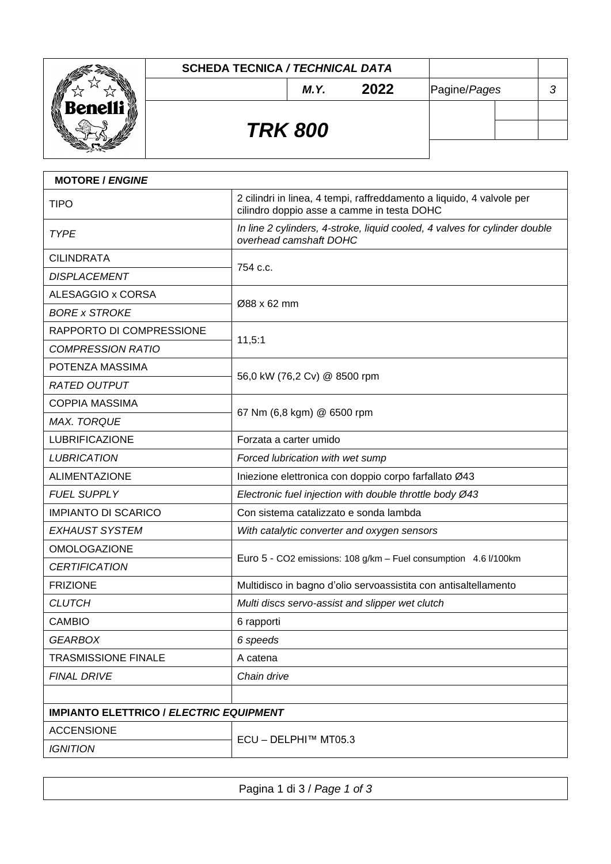

| <b>MOTORE / ENGINE</b>                         |                                                                                                                     |  |  |
|------------------------------------------------|---------------------------------------------------------------------------------------------------------------------|--|--|
| <b>TIPO</b>                                    | 2 cilindri in linea, 4 tempi, raffreddamento a liquido, 4 valvole per<br>cilindro doppio asse a camme in testa DOHC |  |  |
| <b>TYPE</b>                                    | In line 2 cylinders, 4-stroke, liquid cooled, 4 valves for cylinder double<br>overhead camshaft DOHC                |  |  |
| <b>CILINDRATA</b>                              | 754 c.c.                                                                                                            |  |  |
| <b>DISPLACEMENT</b>                            |                                                                                                                     |  |  |
| ALESAGGIO x CORSA                              | Ø88 x 62 mm                                                                                                         |  |  |
| <b>BORE x STROKE</b>                           |                                                                                                                     |  |  |
| RAPPORTO DI COMPRESSIONE                       | 11,5:1                                                                                                              |  |  |
| <b>COMPRESSION RATIO</b>                       |                                                                                                                     |  |  |
| POTENZA MASSIMA                                | 56,0 kW (76,2 Cv) @ 8500 rpm                                                                                        |  |  |
| <b>RATED OUTPUT</b>                            |                                                                                                                     |  |  |
| <b>COPPIA MASSIMA</b>                          | 67 Nm (6,8 kgm) @ 6500 rpm                                                                                          |  |  |
| <b>MAX. TORQUE</b>                             |                                                                                                                     |  |  |
| <b>LUBRIFICAZIONE</b>                          | Forzata a carter umido                                                                                              |  |  |
| <b>LUBRICATION</b>                             | Forced lubrication with wet sump                                                                                    |  |  |
| <b>ALIMENTAZIONE</b>                           | Iniezione elettronica con doppio corpo farfallato Ø43                                                               |  |  |
| <b>FUEL SUPPLY</b>                             | Electronic fuel injection with double throttle body Ø43                                                             |  |  |
| <b>IMPIANTO DI SCARICO</b>                     | Con sistema catalizzato e sonda lambda                                                                              |  |  |
| <b>EXHAUST SYSTEM</b>                          | With catalytic converter and oxygen sensors                                                                         |  |  |
| <b>OMOLOGAZIONE</b>                            | Euro 5 - CO2 emissions: 108 g/km - Fuel consumption 4.6 l/100km                                                     |  |  |
| <b>CERTIFICATION</b>                           |                                                                                                                     |  |  |
| <b>FRIZIONE</b>                                | Multidisco in bagno d'olio servoassistita con antisaltellamento                                                     |  |  |
| <b>CLUTCH</b>                                  | Multi discs servo-assist and slipper wet clutch                                                                     |  |  |
| <b>CAMBIO</b>                                  | 6 rapporti                                                                                                          |  |  |
| <b>GEARBOX</b>                                 | 6 speeds                                                                                                            |  |  |
| <b>TRASMISSIONE FINALE</b>                     | A catena                                                                                                            |  |  |
| <b>FINAL DRIVE</b>                             | Chain drive                                                                                                         |  |  |
|                                                |                                                                                                                     |  |  |
| <b>IMPIANTO ELETTRICO / ELECTRIC EQUIPMENT</b> |                                                                                                                     |  |  |
| <b>ACCENSIONE</b>                              | ECU - DELPHI™ MT05.3                                                                                                |  |  |
| <b>IGNITION</b>                                |                                                                                                                     |  |  |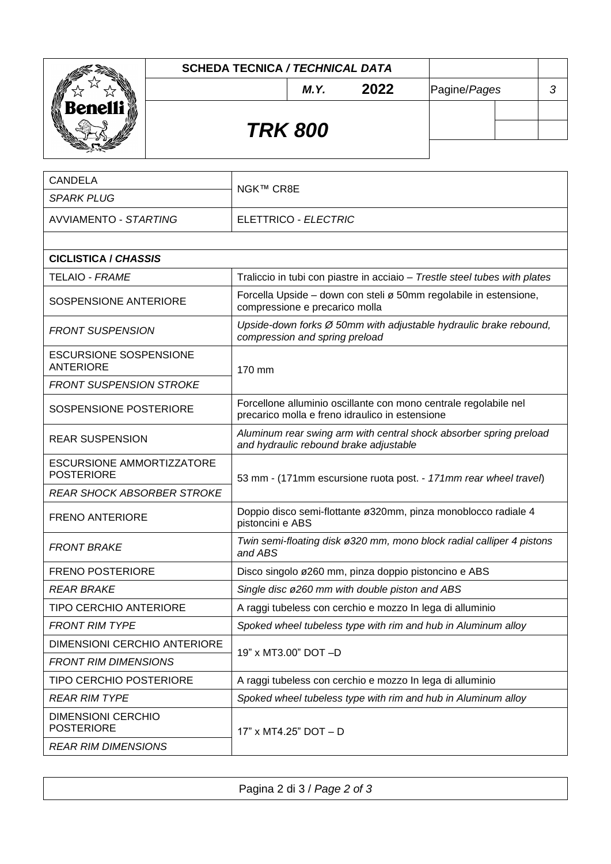|                          | <b>SCHEDA TECNICA / TECHNICAL DATA</b> |                |      |              |   |
|--------------------------|----------------------------------------|----------------|------|--------------|---|
| M                        |                                        | M.Y.           | 2022 | Pagine/Pages | 3 |
| <b>Benelli</b><br>潎<br>₩ |                                        |                |      |              |   |
|                          |                                        | <b>TRK 800</b> |      |              |   |
|                          |                                        |                |      |              |   |

| <b>CANDELA</b>                                        |                                                                                                                     |  |
|-------------------------------------------------------|---------------------------------------------------------------------------------------------------------------------|--|
| <b>SPARK PLUG</b>                                     | NGK™ CR8E                                                                                                           |  |
| <b>AVVIAMENTO - STARTING</b>                          | ELETTRICO - ELECTRIC                                                                                                |  |
|                                                       |                                                                                                                     |  |
| <b>CICLISTICA / CHASSIS</b>                           |                                                                                                                     |  |
| <b>TELAIO - FRAME</b>                                 | Traliccio in tubi con piastre in acciaio - Trestle steel tubes with plates                                          |  |
| SOSPENSIONE ANTERIORE                                 | Forcella Upside – down con steli ø 50mm regolabile in estensione,<br>compressione e precarico molla                 |  |
| <b>FRONT SUSPENSION</b>                               | Upside-down forks Ø 50mm with adjustable hydraulic brake rebound,<br>compression and spring preload                 |  |
| <b>ESCURSIONE SOSPENSIONE</b><br><b>ANTERIORE</b>     | 170 mm                                                                                                              |  |
| <b>FRONT SUSPENSION STROKE</b>                        |                                                                                                                     |  |
| SOSPENSIONE POSTERIORE                                | Forcellone alluminio oscillante con mono centrale regolabile nel<br>precarico molla e freno idraulico in estensione |  |
| <b>REAR SUSPENSION</b>                                | Aluminum rear swing arm with central shock absorber spring preload<br>and hydraulic rebound brake adjustable        |  |
| <b>ESCURSIONE AMMORTIZZATORE</b><br><b>POSTERIORE</b> | 53 mm - (171mm escursione ruota post. - 171mm rear wheel travel)                                                    |  |
| <b>REAR SHOCK ABSORBER STROKE</b>                     |                                                                                                                     |  |
| <b>FRENO ANTERIORE</b>                                | Doppio disco semi-flottante ø320mm, pinza monoblocco radiale 4<br>pistoncini e ABS                                  |  |
| <b>FRONT BRAKE</b>                                    | Twin semi-floating disk ø 320 mm, mono block radial calliper 4 pistons<br>and ABS                                   |  |
| <b>FRENO POSTERIORE</b>                               | Disco singolo ø260 mm, pinza doppio pistoncino e ABS                                                                |  |
| <b>REAR BRAKE</b>                                     | Single disc ø260 mm with double piston and ABS                                                                      |  |
| <b>TIPO CERCHIO ANTERIORE</b>                         | A raggi tubeless con cerchio e mozzo In lega di alluminio                                                           |  |
| <b>FRONT RIM TYPE</b>                                 | Spoked wheel tubeless type with rim and hub in Aluminum alloy                                                       |  |
| <b>DIMENSIONI CERCHIO ANTERIORE</b>                   |                                                                                                                     |  |
| <b>FRONT RIM DIMENSIONS</b>                           | 19" x MT3.00" DOT-D                                                                                                 |  |
| TIPO CERCHIO POSTERIORE                               | A raggi tubeless con cerchio e mozzo In lega di alluminio                                                           |  |
| <b>REAR RIM TYPE</b>                                  | Spoked wheel tubeless type with rim and hub in Aluminum alloy                                                       |  |
| <b>DIMENSIONI CERCHIO</b><br><b>POSTERIORE</b>        | 17" x MT4.25" DOT - D                                                                                               |  |
| <b>REAR RIM DIMENSIONS</b>                            |                                                                                                                     |  |